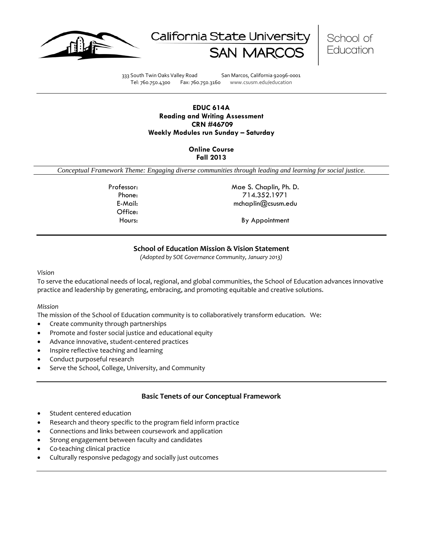





333 South Twin Oaks Valley Road San Marcos, California 92096-0001 Tel: 760.750.4300 Fax: 760.750.3160 www.csusm.edu/education

### **EDUC 614A Reading and Writing Assessment CRN #46709 Weekly Modules run Sunday – Saturday**

## **Online Course Fall 2013**

*Conceptual Framework Theme: Engaging diverse communities through leading and learning for social justice.*

Office:

Professor: Mae S. Chaplin, Ph. D. Phone: 714.352.1971 E-Mail: mchaplin@csusm.edu

Hours: By Appointment

# **School of Education Mission & Vision Statement**

*(Adopted by SOE Governance Community, January 2013)*

#### *Vision*

To serve the educational needs of local, regional, and global communities, the School of Education advances innovative practice and leadership by generating, embracing, and promoting equitable and creative solutions.

### *Mission*

The mission of the School of Education community is to collaboratively transform education. We:

- Create community through partnerships
- Promote and foster social justice and educational equity
- Advance innovative, student-centered practices
- Inspire reflective teaching and learning
- Conduct purposeful research
- Serve the School, College, University, and Community

## **Basic Tenets of our Conceptual Framework**

- Student centered education
- Research and theory specific to the program field inform practice
- Connections and links between coursework and application
- Strong engagement between faculty and candidates
- Co-teaching clinical practice
- Culturally responsive pedagogy and socially just outcomes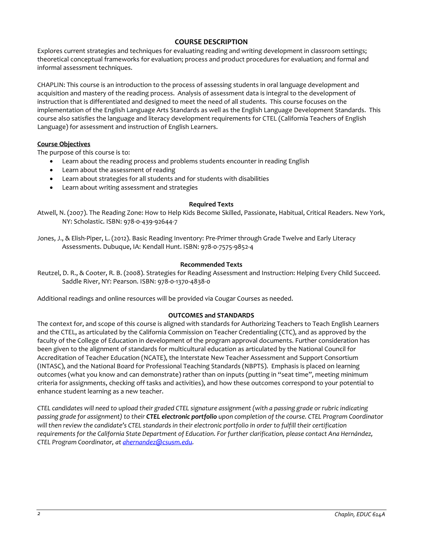# **COURSE DESCRIPTION**

Explores current strategies and techniques for evaluating reading and writing development in classroom settings; theoretical conceptual frameworks for evaluation; process and product procedures for evaluation; and formal and informal assessment techniques.

CHAPLIN: This course is an introduction to the process of assessing students in oral language development and acquisition and mastery of the reading process. Analysis of assessment data is integral to the development of instruction that is differentiated and designed to meet the need of all students. This course focuses on the implementation of the English Language Arts Standards as well as the English Language Development Standards. This course also satisfies the language and literacy development requirements for CTEL (California Teachers of English Language) for assessment and instruction of English Learners.

### **Course Objectives**

The purpose of this course is to:

- Learn about the reading process and problems students encounter in reading English
- Learn about the assessment of reading
- Learn about strategies for all students and for students with disabilities
- Learn about writing assessment and strategies

### **Required Texts**

Atwell, N. (2007). The Reading Zone: How to Help Kids Become Skilled, Passionate, Habitual, Critical Readers. New York, NY: Scholastic. ISBN: 978-0-439-92644-7

Jones, J., & Elish-Piper, L. (2012). Basic Reading Inventory: Pre-Primer through Grade Twelve and Early Literacy Assessments. Dubuque, IA: Kendall Hunt. ISBN: 978-0-7575-9852-4

#### **Recommended Texts**

Reutzel, D. R., & Cooter, R. B. (2008). Strategies for Reading Assessment and Instruction: Helping Every Child Succeed. Saddle River, NY: Pearson. ISBN: 978-0-1370-4838-0

Additional readings and online resources will be provided via Cougar Courses as needed.

### **OUTCOMES and STANDARDS**

The context for, and scope of this course is aligned with standards for Authorizing Teachers to Teach English Learners and the CTEL, as articulated by the California Commission on Teacher Credentialing (CTC), and as approved by the faculty of the College of Education in development of the program approval documents. Further consideration has been given to the alignment of standards for multicultural education as articulated by the National Council for Accreditation of Teacher Education (NCATE), the Interstate New Teacher Assessment and Support Consortium (INTASC), and the National Board for Professional Teaching Standards (NBPTS). Emphasis is placed on learning outcomes (what you know and can demonstrate) rather than on inputs (putting in "seat time", meeting minimum criteria for assignments, checking off tasks and activities), and how these outcomes correspond to your potential to enhance student learning as a new teacher.

*CTEL candidates will need to upload their graded CTEL signature assignment (with a passing grade or rubric indicating passing grade for assignment) to their CTEL electronic portfolio upon completion of the course. CTEL Program Coordinator will then review the candidate's CTEL standards in their electronic portfolio in order to fulfill their certification*  requirements for the California State Department of Education. For further *clarification*, please contact Ana Hernández, *CTEL Program Coordinator, at [ahernandez@csusm.edu.](mailto:ahernandez@csusm.edu)*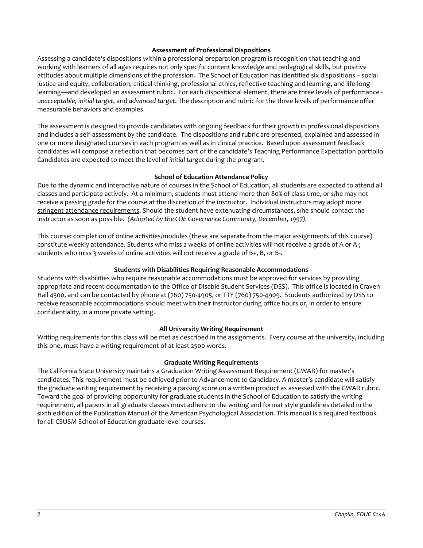## **Assessment of Professional Dispositions**

Assessing a candidate's dispositions within a professional preparation program is recognition that teaching and working with learners of all ages requires not only specific content knowledge and pedagogical skills, but positive attitudes about multiple dimensions of the profession. The School of Education has identified six dispositions – social justice and equity, collaboration, critical thinking, professional ethics, reflective teaching and learning, and life-long learning—and developed an assessment rubric. For each dispositional element, there are three levels of performance *unacceptable*, *initial target*, and *advanced target*. The description and rubric for the three levels of performance offer measurable behaviors and examples.

The assessment is designed to provide candidates with ongoing feedback for their growth in professional dispositions and includes a self-assessment by the candidate. The dispositions and rubric are presented, explained and assessed in one or more designated courses in each program as well as in clinical practice. Based upon assessment feedback candidates will compose a reflection that becomes part of the candidate's Teaching Performance Expectation portfolio. Candidates are expected to meet the level of *initial target* during the program.

### **School of Education Attendance Policy**

Due to the dynamic and interactive nature of courses in the School of Education, all students are expected to attend all classes and participate actively. At a minimum, students must attend more than 80% of class time, or s/he may not receive a passing grade for the course at the discretion of the instructor. Individual instructors may adopt more stringent attendance requirements. Should the student have extenuating circumstances, s/he should contact the instructor as soon as possible. *(Adopted by the COE Governance Community, December, 1997).*

This course: completion of online activities/modules (these are separate from the major assignments of this course) constitute weekly attendance. Students who miss 2 weeks of online activities will not receive a grade of A or A-; students who miss 3 weeks of online activities will not receive a grade of B+, B, or B-.

### **Students with Disabilities Requiring Reasonable Accommodations**

Students with disabilities who require reasonable accommodations must be approved for services by providing appropriate and recent documentation to the Office of Disable Student Services (DSS). This office is located in Craven Hall 4300, and can be contacted by phone at (760) 750-4905, or TTY (760) 750-4909. Students authorized by DSS to receive reasonable accommodations should meet with their instructor during office hours or, in order to ensure confidentiality, in a more private setting.

### **All University Writing Requirement**

Writing requirements for this class will be met as described in the assignments. Every course at the university, including this one, must have a writing requirement of at least 2500 words.

#### **Graduate Writing Requirements**

The California State University maintains a Graduation Writing Assessment Requirement (GWAR) for master's candidates. This requirement must be achieved prior to Advancement to Candidacy. A master's candidate will satisfy the graduate writing requirement by receiving a passing score on a written product as assessed with the GWAR rubric. Toward the goal of providing opportunity for graduate students in the School of Education to satisfy the writing requirement, all papers in all graduate classes must adhere to the writing and format style guidelines detailed in the sixth edition of the Publication Manual of the American Psychological Association. This manual is a required textbook for all CSUSM School of Education graduate-level courses.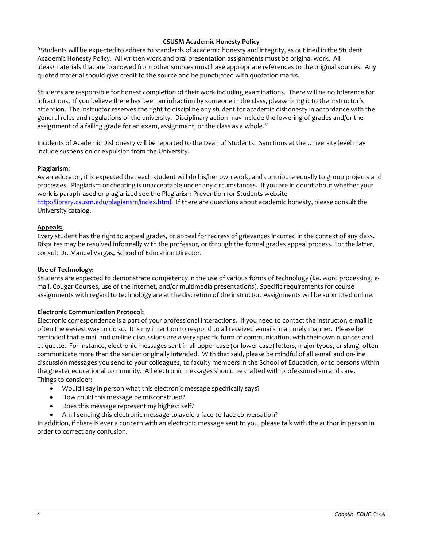## **CSUSM Academic Honesty Policy**

"Students will be expected to adhere to standards of academic honesty and integrity, as outlined in the Student Academic Honesty Policy. All written work and oral presentation assignments must be original work. All ideas/materials that are borrowed from other sources must have appropriate references to the original sources. Any quoted material should give credit to the source and be punctuated with quotation marks.

Students are responsible for honest completion of their work including examinations. There will be no tolerance for infractions. If you believe there has been an infraction by someone in the class, please bring it to the instructor's attention. The instructor reserves the right to discipline any student for academic dishonesty in accordance with the general rules and regulations of the university. Disciplinary action may include the lowering of grades and/or the assignment of a failing grade for an exam, assignment, or the class as a whole."

Incidents of Academic Dishonesty will be reported to the Dean of Students. Sanctions at the University level may include suspension or expulsion from the University.

### **Plagiarism:**

As an educator, it is expected that each student will do his/her own work, and contribute equally to group projects and processes. Plagiarism or cheating is unacceptable under any circumstances. If you are in doubt about whether your work is paraphrased or plagiarized see the Plagiarism Prevention for Students website [http://library.csusm.edu/plagiarism/index.html.](http://library.csusm.edu/plagiarism/index.html) If there are questions about academic honesty, please consult the University catalog.

### **Appeals:**

Every student has the right to appeal grades, or appeal for redress of grievances incurred in the context of any class. Disputes may be resolved informally with the professor, or through the formal grades appeal process. For the latter, consult Dr. Manuel Vargas, School of Education Director.

### **Use of Technology:**

Students are expected to demonstrate competency in the use of various forms of technology (i.e. word processing, email, Cougar Courses, use of the Internet, and/or multimedia presentations). Specific requirements for course assignments with regard to technology are at the discretion of the instructor. Assignments will be submitted online.

### **Electronic Communication Protocol:**

Electronic correspondence is a part of your professional interactions. If you need to contact the instructor, e-mail is often the easiest way to do so. It is my intention to respond to all received e-mails in a timely manner. Please be reminded that e-mail and on-line discussions are a very specific form of communication, with their own nuances and etiquette. For instance, electronic messages sent in all upper case (or lower case) letters, major typos, or slang, often communicate more than the sender originally intended. With that said, please be mindful of all e-mail and on-line discussion messages you send to your colleagues, to faculty members in the School of Education, or to persons within the greater educational community. All electronic messages should be crafted with professionalism and care. Things to consider:

- Would I say in person what this electronic message specifically says?
- How could this message be misconstrued?
- Does this message represent my highest self?
- Am I sending this electronic message to avoid a face-to-face conversation?

In addition, if there is ever a concern with an electronic message sent to you, please talk with the author in person in order to correct any confusion.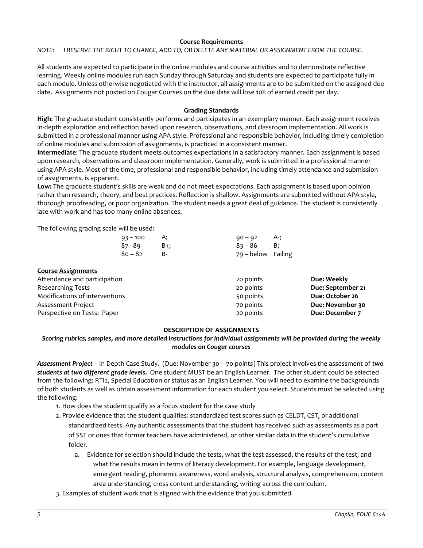### **Course Requirements**

*NOTE: I RESERVE THE RIGHT TO CHANGE, ADD TO, OR DELETE ANY MATERIAL OR ASSIGNMENT FROM THE COURSE.*

All students are expected to participate in the online modules and course activities and to demonstrate reflective learning. Weekly online modules run each Sunday through Saturday and students are expected to participate fully in each module. Unless otherwise negotiated with the instructor, all assignments are to be submitted on the assigned due date. Assignments not posted on Cougar Courses on the due date will lose 10% of earned credit per day.

## **Grading Standards**

**High**: The graduate student consistently performs and participates in an exemplary manner. Each assignment receives in-depth exploration and reflection based upon research, observations, and classroom implementation. All work is submitted in a professional manner using APA style. Professional and responsible behavior, including timely completion of online modules and submission of assignments, is practiced in a consistent manner.

**Intermediate**: The graduate student meets outcomes expectations in a satisfactory manner. Each assignment is based upon research, observations and classroom implementation. Generally, work is submitted in a professional manner using APA style. Most of the time, professional and responsible behavior, including timely attendance and submission of assignments, is apparent.

**Low:** The graduate student's skills are weak and do not meet expectations. Each assignment is based upon opinion rather than research, theory, and best practices. Reflection is shallow. Assignments are submitted without APA style, thorough proofreading, or poor organization. The student needs a great deal of guidance. The student is consistently late with work and has too many online absences.

The following grading scale will be used:

| $93 - 100$ | A:  | $90 - 92$          | A-:       |
|------------|-----|--------------------|-----------|
| 87 - 89    | B+: | $83 - 86$          | <b>B:</b> |
| $80 - 82$  | н.  | 79 – below Failing |           |

| <b>Course Assignments</b>      |           |                   |
|--------------------------------|-----------|-------------------|
| Attendance and participation   | 20 points | Due: Weekly       |
| <b>Researching Tests</b>       | 20 points | Due: September 21 |
| Modifications of interventions | 50 points | Due: October 26   |
| Assessment Project             | 70 points | Due: November 30  |
| Perspective on Tests: Paper    | 20 points | Due: December 7   |

### **DESCRIPTION OF ASSIGNMENTS**

## *Scoring rubrics, samples, and more detailed instructions for individual assignments will be provided during the weekly modules on Cougar courses*

*Assessment Project* – In Depth Case Study. (Due: November 30—70 points) This project involves the assessment of *two students at two different grade levels.* One student MUST be an English Learner. The other student could be selected from the following: RTI2, Special Education or status as an English Learner. You will need to examine the backgrounds of both students as well as obtain assessment information for each student you select. Students must be selected using the following:

- 1. How does the student qualify as a focus student for the case study
- 2. Provide evidence that the student qualifies: standardized test scores such as CELDT, CST, or additional standardized tests. Any authentic assessments that the student has received such as assessments as a part of SST or ones that former teachers have administered, or other similar data in the student's cumulative folder.
	- a. Evidence for selection should include the tests, what the test assessed, the results of the test, and what the results mean in terms of literacy development. For example, language development, emergent reading, phonemic awareness, word analysis, structural analysis, comprehension, content area understanding, cross content understanding, writing across the curriculum.
- 3. Examples of student work that is aligned with the evidence that you submitted.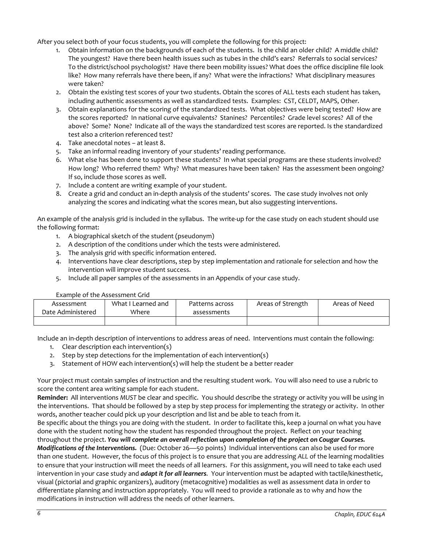After you select both of your focus students, you will complete the following for this project:

- 1. Obtain information on the backgrounds of each of the students. Is the child an older child? A middle child? The youngest? Have there been health issues such as tubes in the child's ears? Referrals to social services? To the district/school psychologist? Have there been mobility issues? What does the office discipline file look like? How many referrals have there been, if any? What were the infractions? What disciplinary measures were taken?
- 2. Obtain the existing test scores of your two students. Obtain the scores of ALL tests each student has taken, including authentic assessments as well as standardized tests. Examples: CST, CELDT, MAPS, Other.
- 3. Obtain explanations for the scoring of the standardized tests. What objectives were being tested? How are the scores reported? In national curve equivalents? Stanines? Percentiles? Grade level scores? All of the above? Some? None? Indicate all of the ways the standardized test scores are reported. Is the standardized test also a criterion referenced test?
- 4. Take anecdotal notes at least 8.
- 5. Take an informal reading inventory of your students' reading performance.
- 6. What else has been done to support these students? In what special programs are these students involved? How long? Who referred them? Why? What measures have been taken? Has the assessment been ongoing? If so, include those scores as well.
- 7. Include a content are writing example of your student.
- 8. Create a grid and conduct an in-depth analysis of the students' scores. The case study involves not only analyzing the scores and indicating what the scores mean, but also suggesting interventions.

An example of the analysis grid is included in the syllabus. The write-up for the case study on each student should use the following format:

- 1. A biographical sketch of the student (pseudonym)
- 2. A description of the conditions under which the tests were administered.
- 3. The analysis grid with specific information entered.
- 4. Interventions have clear descriptions, step by step implementation and rationale for selection and how the intervention will improve student success.
- 5. Include all paper samples of the assessments in an Appendix of your case study.

| Example of the Assessment Grid |                    |                 |                   |               |
|--------------------------------|--------------------|-----------------|-------------------|---------------|
| Assessment                     | What I Learned and | Patterns across | Areas of Strength | Areas of Need |
| Date Administered              | Where              | assessments     |                   |               |
|                                |                    |                 |                   |               |

Include an in-depth description of interventions to address areas of need. Interventions must contain the following:

- 1. Clear description each intervention(s)
- 2. Step by step detections for the implementation of each intervention(s)
- 3. Statement of HOW each intervention(s) will help the student be a better reader

Your project must contain samples of instruction and the resulting student work. You will also need to use a rubric to score the content area writing sample for each student.

**Reminder:** All interventions *MUST* be clear and specific. You should describe the strategy or activity you will be using in the interventions. That should be followed by a step by step process for implementing the strategy or activity. In other words, another teacher could pick up your description and list and be able to teach from it.

Be specific about the things you are doing with the student. In order to facilitate this, keep a journal on what you have done with the student noting how the student has responded throughout the project. Reflect on your teaching

throughout the project. *You will complete an overall reflection upon completion of the project on Cougar Courses. Modifications of the Interventions.* (Due: October 26—50 points) Individual interventions can also be used for more than one student. However, the focus of this project is to ensure that you are addressing *ALL* of the learning modalities to ensure that your instruction will meet the needs of all learners. For this assignment, you will need to take each used intervention in your case study and *adapt it for all learners.* Your intervention must be adapted with tactile/kinesthetic, visual (pictorial and graphic organizers), auditory (metacognitive) modalities as well as assessment data in order to differentiate planning and instruction appropriately. You will need to provide a rationale as to why and how the modifications in instruction will address the needs of other learners.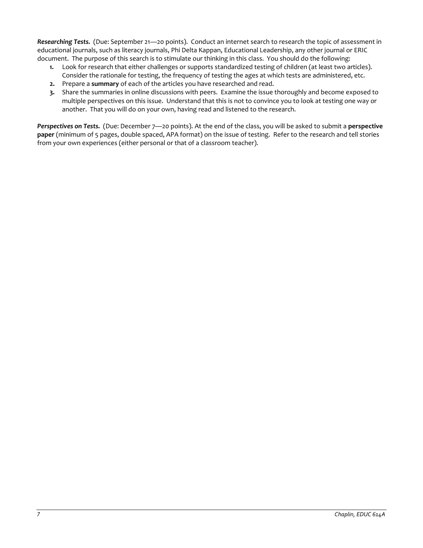*Researching Tests.* (Due: September 21—20 points). Conduct an internet search to research the topic of assessment in educational journals, such as literacy journals, Phi Delta Kappan, Educational Leadership, any other journal or ERIC document. The purpose of this search is to stimulate our thinking in this class. You should do the following:

- **1.** Look for research that either challenges or supports standardized testing of children (at least two articles). Consider the rationale for testing, the frequency of testing the ages at which tests are administered, etc.
- **2.** Prepare a **summary** of each of the articles you have researched and read.
- **3.** Share the summaries in online discussions with peers. Examine the issue thoroughly and become exposed to multiple perspectives on this issue. Understand that this is not to convince you to look at testing one way or another. That you will do on your own, having read and listened to the research.

*Perspectives on Tests.* (Due: December 7—20 points). At the end of the class, you will be asked to submit a **perspective paper** (minimum of 5 pages, double spaced, APA format) on the issue of testing. Refer to the research and tell stories from your own experiences (either personal or that of a classroom teacher).